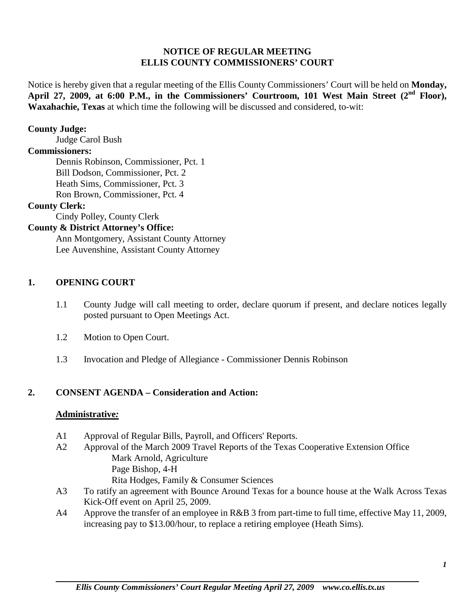## **NOTICE OF REGULAR MEETING ELLIS COUNTY COMMISSIONERS' COURT**

Notice is hereby given that a regular meeting of the Ellis County Commissioners' Court will be held on **Monday,**  April 27, 2009, at 6:00 P.M., in the Commissioners' Courtroom, 101 West Main Street (2<sup>nd</sup> Floor), **Waxahachie, Texas** at which time the following will be discussed and considered, to-wit:

#### **County Judge:**

Judge Carol Bush

#### **Commissioners:**

Dennis Robinson, Commissioner, Pct. 1 Bill Dodson, Commissioner, Pct. 2 Heath Sims, Commissioner, Pct. 3 Ron Brown, Commissioner, Pct. 4

## **County Clerk:**

Cindy Polley, County Clerk

## **County & District Attorney's Office:**

Ann Montgomery, Assistant County Attorney Lee Auvenshine, Assistant County Attorney

### **1. OPENING COURT**

- 1.1 County Judge will call meeting to order, declare quorum if present, and declare notices legally posted pursuant to Open Meetings Act.
- 1.2 Motion to Open Court.
- 1.3 Invocation and Pledge of Allegiance Commissioner Dennis Robinson

### **2. CONSENT AGENDA – Consideration and Action:**

#### **Administrative***:*

- A1 Approval of Regular Bills, Payroll, and Officers' Reports.
- A2 Approval of the March 2009 Travel Reports of the Texas Cooperative Extension Office Mark Arnold, Agriculture Page Bishop, 4-H Rita Hodges, Family & Consumer Sciences
- A3 To ratify an agreement with Bounce Around Texas for a bounce house at the Walk Across Texas Kick-Off event on April 25, 2009.
- A4 Approve the transfer of an employee in R&B 3 from part-time to full time, effective May 11, 2009, increasing pay to \$13.00/hour, to replace a retiring employee (Heath Sims).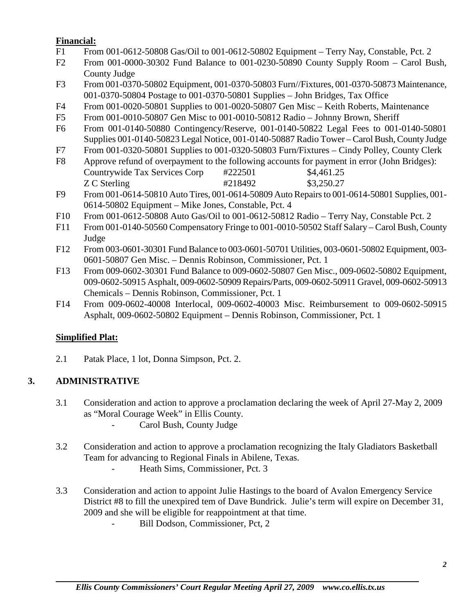## **Financial:**

- F1 From 001-0612-50808 Gas/Oil to 001-0612-50802 Equipment Terry Nay, Constable, Pct. 2
- F2 From 001-0000-30302 Fund Balance to 001-0230-50890 County Supply Room Carol Bush, County Judge
- F3 From 001-0370-50802 Equipment, 001-0370-50803 Furn//Fixtures, 001-0370-50873 Maintenance, 001-0370-50804 Postage to 001-0370-50801 Supplies – John Bridges, Tax Office
- F4 From 001-0020-50801 Supplies to 001-0020-50807 Gen Misc Keith Roberts, Maintenance
- F5 From 001-0010-50807 Gen Misc to 001-0010-50812 Radio Johnny Brown, Sheriff
- F6 From 001-0140-50880 Contingency/Reserve, 001-0140-50822 Legal Fees to 001-0140-50801 Supplies 001-0140-50823 Legal Notice, 001-0140-50887 Radio Tower – Carol Bush, County Judge
- F7 From 001-0320-50801 Supplies to 001-0320-50803 Furn/Fixtures Cindy Polley, County Clerk
- F8 Approve refund of overpayment to the following accounts for payment in error (John Bridges): Countrywide Tax Services Corp #222501 \$4,461.25 Z C Sterling  $\text{\#218492}$  \$3,250.27
- F9 From 001-0614-50810 Auto Tires, 001-0614-50809 Auto Repairs to 001-0614-50801 Supplies, 001- 0614-50802 Equipment – Mike Jones, Constable, Pct. 4
- F10 From 001-0612-50808 Auto Gas/Oil to 001-0612-50812 Radio Terry Nay, Constable Pct. 2
- F11 From 001-0140-50560 Compensatory Fringe to 001-0010-50502 Staff Salary Carol Bush, County Judge
- F12 From 003-0601-30301 Fund Balance to 003-0601-50701 Utilities, 003-0601-50802 Equipment, 003- 0601-50807 Gen Misc. – Dennis Robinson, Commissioner, Pct. 1
- F13 From 009-0602-30301 Fund Balance to 009-0602-50807 Gen Misc., 009-0602-50802 Equipment, 009-0602-50915 Asphalt, 009-0602-50909 Repairs/Parts, 009-0602-50911 Gravel, 009-0602-50913 Chemicals – Dennis Robinson, Commissioner, Pct. 1
- F14 From 009-0602-40008 Interlocal, 009-0602-40003 Misc. Reimbursement to 009-0602-50915 Asphalt, 009-0602-50802 Equipment – Dennis Robinson, Commissioner, Pct. 1

# **Simplified Plat:**

2.1 Patak Place, 1 lot, Donna Simpson, Pct. 2.

# **3. ADMINISTRATIVE**

- 3.1 Consideration and action to approve a proclamation declaring the week of April 27-May 2, 2009 as "Moral Courage Week" in Ellis County.
	- Carol Bush, County Judge
- 3.2 Consideration and action to approve a proclamation recognizing the Italy Gladiators Basketball Team for advancing to Regional Finals in Abilene, Texas.
	- Heath Sims, Commissioner, Pct. 3
- 3.3 Consideration and action to appoint Julie Hastings to the board of Avalon Emergency Service District #8 to fill the unexpired tem of Dave Bundrick. Julie's term will expire on December 31, 2009 and she will be eligible for reappointment at that time.
	- Bill Dodson, Commissioner, Pct, 2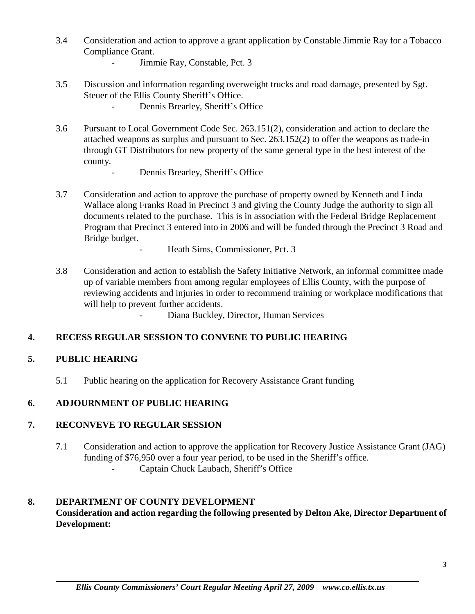3.4 Consideration and action to approve a grant application by Constable Jimmie Ray for a Tobacco Compliance Grant.

- Jimmie Ray, Constable, Pct. 3

- 3.5 Discussion and information regarding overweight trucks and road damage, presented by Sgt. Steuer of the Ellis County Sheriff's Office.
	- Dennis Brearley, Sheriff's Office
- 3.6 Pursuant to Local Government Code Sec. 263.151(2), consideration and action to declare the attached weapons as surplus and pursuant to Sec. 263.152(2) to offer the weapons as trade-in through GT Distributors for new property of the same general type in the best interest of the county.
	- Dennis Brearley, Sheriff's Office
- 3.7 Consideration and action to approve the purchase of property owned by Kenneth and Linda Wallace along Franks Road in Precinct 3 and giving the County Judge the authority to sign all documents related to the purchase. This is in association with the Federal Bridge Replacement Program that Precinct 3 entered into in 2006 and will be funded through the Precinct 3 Road and Bridge budget.
	- Heath Sims, Commissioner, Pct. 3
- 3.8 Consideration and action to establish the Safety Initiative Network, an informal committee made up of variable members from among regular employees of Ellis County, with the purpose of reviewing accidents and injuries in order to recommend training or workplace modifications that will help to prevent further accidents.
	- Diana Buckley, Director, Human Services

## **4. RECESS REGULAR SESSION TO CONVENE TO PUBLIC HEARING**

## **5. PUBLIC HEARING**

5.1 Public hearing on the application for Recovery Assistance Grant funding

## **6. ADJOURNMENT OF PUBLIC HEARING**

## **7. RECONVEVE TO REGULAR SESSION**

7.1 Consideration and action to approve the application for Recovery Justice Assistance Grant (JAG) funding of \$76,950 over a four year period, to be used in the Sheriff's office. Captain Chuck Laubach, Sheriff's Office

## **8. DEPARTMENT OF COUNTY DEVELOPMENT Consideration and action regarding the following presented by Delton Ake, Director Department of Development:**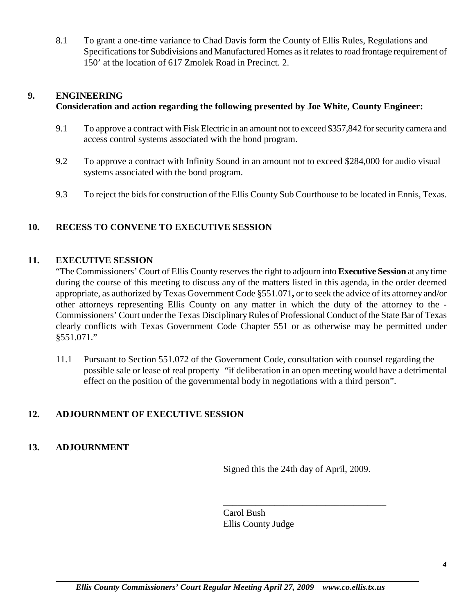8.1 To grant a one-time variance to Chad Davis form the County of Ellis Rules, Regulations and Specifications for Subdivisions and Manufactured Homes as it relates to road frontage requirement of 150' at the location of 617 Zmolek Road in Precinct. 2.

## **9. ENGINEERING**

## **Consideration and action regarding the following presented by Joe White, County Engineer:**

- 9.1 To approve a contract with Fisk Electric in an amount not to exceed \$357,842 for security camera and access control systems associated with the bond program.
- 9.2 To approve a contract with Infinity Sound in an amount not to exceed \$284,000 for audio visual systems associated with the bond program.
- 9.3 To reject the bids for construction of the Ellis County Sub Courthouse to be located in Ennis, Texas.

## **10. RECESS TO CONVENE TO EXECUTIVE SESSION**

### **11. EXECUTIVE SESSION**

"The Commissioners' Court of Ellis County reserves the right to adjourn into **Executive Session** at any time during the course of this meeting to discuss any of the matters listed in this agenda, in the order deemed appropriate, as authorized by Texas Government Code §551.071**,** or to seek the advice of its attorney and/or other attorneys representing Ellis County on any matter in which the duty of the attorney to the - Commissioners' Court under the Texas Disciplinary Rules of Professional Conduct of the State Bar of Texas clearly conflicts with Texas Government Code Chapter 551 or as otherwise may be permitted under §551.071."

11.1 Pursuant to Section 551.072 of the Government Code, consultation with counsel regarding the possible sale or lease of real property "if deliberation in an open meeting would have a detrimental effect on the position of the governmental body in negotiations with a third person".

### **12. ADJOURNMENT OF EXECUTIVE SESSION**

### **13. ADJOURNMENT**

Signed this the 24th day of April, 2009.

\_\_\_\_\_\_\_\_\_\_\_\_\_\_\_\_\_\_\_\_\_\_\_\_\_\_\_\_\_\_\_\_\_\_\_

Carol Bush Ellis County Judge